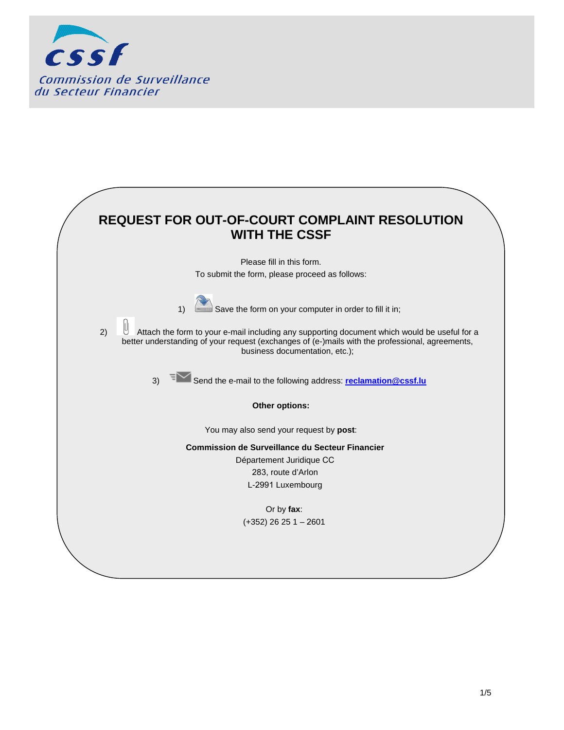

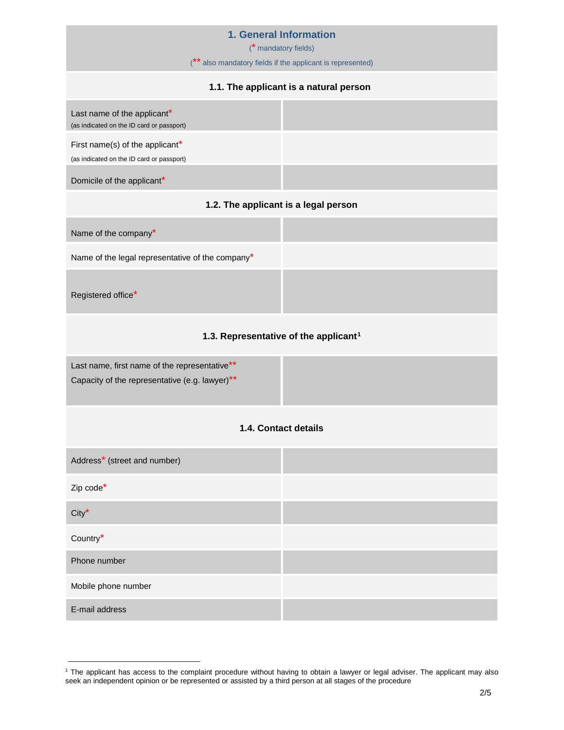### **1. General Information**

(\* mandatory fields)

(\*\* also mandatory fields if the applicant is represented)

## **1.1. The applicant is a natural person**



#### **1.2. The applicant is a legal person**

| Name of the company*                             |  |
|--------------------------------------------------|--|
| Name of the legal representative of the company* |  |
| Registered office <sup>*</sup>                   |  |

#### **1.3. Representative of the applicant[1](#page-1-0)**

Last name, first name of the representative\*\* Capacity of the representative (e.g. lawyer)\*\*

### **1.4. Contact details**

| Address <sup>*</sup> (street and number) |  |
|------------------------------------------|--|
| Zip code*                                |  |
| $City^{\star}$                           |  |
| Country*                                 |  |
| Phone number                             |  |
| Mobile phone number                      |  |
| E-mail address                           |  |

<span id="page-1-0"></span><sup>1</sup> The applicant has access to the complaint procedure without having to obtain a lawyer or legal adviser. The applicant may also seek an independent opinion or be represented or assisted by a third person at all stages of the procedure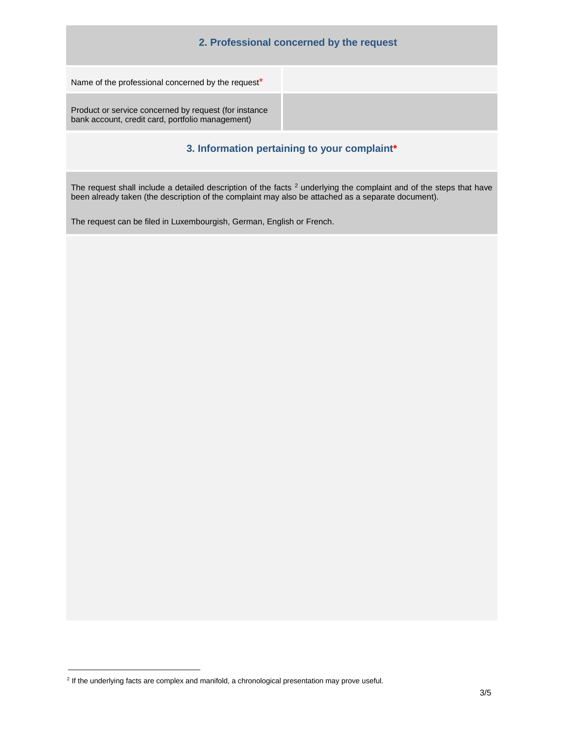| 2. Professional concerned by the request                                                                  |  |
|-----------------------------------------------------------------------------------------------------------|--|
| Name of the professional concerned by the request*                                                        |  |
| Product or service concerned by request (for instance<br>bank account, credit card, portfolio management) |  |

## **3. Information pertaining to your complaint\***

The request shall include a detailed description of the facts  $2$  underlying the complaint and of the steps that have been already taken (the description of the complaint may also be attached as a separate document).

The request can be filed in Luxembourgish, German, English or French.

<sup>&</sup>lt;sup>2</sup> If the underlying facts are complex and manifold, a chronological presentation may prove useful.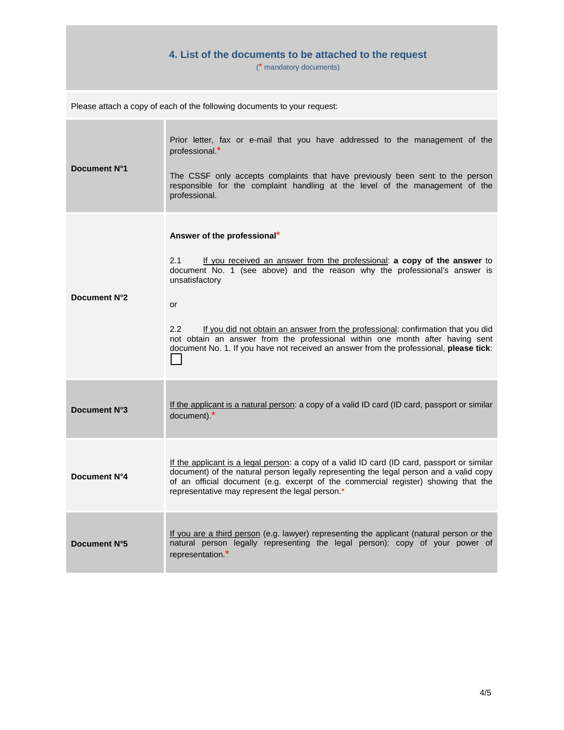# **4. List of the documents to be attached to the request**

(\* mandatory documents)

| Document N°1 | Prior letter, fax or e-mail that you have addressed to the management of the<br>professional.*<br>The CSSF only accepts complaints that have previously been sent to the person<br>responsible for the complaint handling at the level of the management of the<br>professional.                                                                                                                                                                                                                        |
|--------------|---------------------------------------------------------------------------------------------------------------------------------------------------------------------------------------------------------------------------------------------------------------------------------------------------------------------------------------------------------------------------------------------------------------------------------------------------------------------------------------------------------|
| Document N°2 | Answer of the professional*<br>2.1<br>If you received an answer from the professional: a copy of the answer to<br>document No. 1 (see above) and the reason why the professional's answer is<br>unsatisfactory<br>or<br>If you did not obtain an answer from the professional: confirmation that you did<br>2.2 <sub>2</sub><br>not obtain an answer from the professional within one month after having sent<br>document No. 1. If you have not received an answer from the professional, please tick: |
| Document N°3 | If the applicant is a natural person: a copy of a valid ID card (ID card, passport or similar<br>document).*                                                                                                                                                                                                                                                                                                                                                                                            |
| Document N°4 | If the applicant is a legal person: a copy of a valid ID card (ID card, passport or similar<br>document) of the natural person legally representing the legal person and a valid copy<br>of an official document (e.g. excerpt of the commercial register) showing that the<br>representative may represent the legal person.*                                                                                                                                                                          |
| Document N°5 | If you are a third person (e.g. lawyer) representing the applicant (natural person or the<br>natural person legally representing the legal person): copy of your power of<br>representation.*                                                                                                                                                                                                                                                                                                           |

Please attach a copy of each of the following documents to your request: